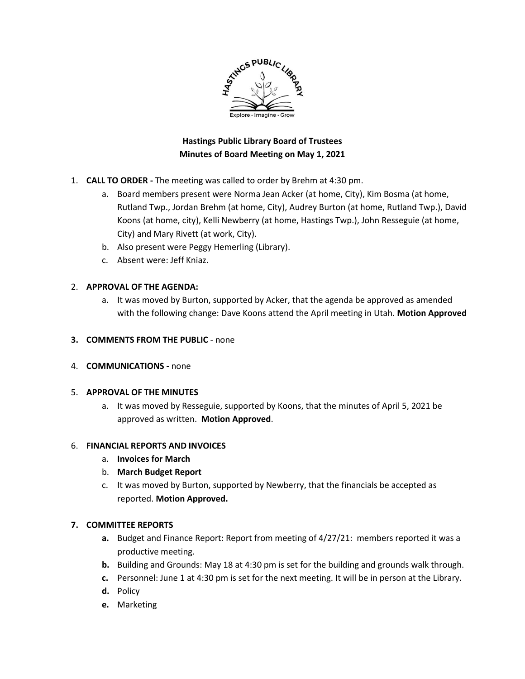

# **Hastings Public Library Board of Trustees Minutes of Board Meeting on May 1, 2021**

- 1. **CALL TO ORDER -** The meeting was called to order by Brehm at 4:30 pm.
	- a. Board members present were Norma Jean Acker (at home, City), Kim Bosma (at home, Rutland Twp., Jordan Brehm (at home, City), Audrey Burton (at home, Rutland Twp.), David Koons (at home, city), Kelli Newberry (at home, Hastings Twp.), John Resseguie (at home, City) and Mary Rivett (at work, City).
	- b. Also present were Peggy Hemerling (Library).
	- c. Absent were: Jeff Kniaz.

## 2. **APPROVAL OF THE AGENDA:**

- a. It was moved by Burton, supported by Acker, that the agenda be approved as amended with the following change: Dave Koons attend the April meeting in Utah. **Motion Approved**
- **3. COMMENTS FROM THE PUBLIC** none
- 4. **COMMUNICATIONS -** none

## 5. **APPROVAL OF THE MINUTES**

a. It was moved by Resseguie, supported by Koons, that the minutes of April 5, 2021 be approved as written. **Motion Approved**.

## 6. **FINANCIAL REPORTS AND INVOICES**

- a. **Invoices for March**
- b. **March Budget Report**
- c. It was moved by Burton, supported by Newberry, that the financials be accepted as reported. **Motion Approved.**

## **7. COMMITTEE REPORTS**

- **a.** Budget and Finance Report: Report from meeting of 4/27/21: members reported it was a productive meeting.
- **b.** Building and Grounds: May 18 at 4:30 pm is set for the building and grounds walk through.
- **c.** Personnel: June 1 at 4:30 pm is set for the next meeting. It will be in person at the Library.
- **d.** Policy
- **e.** Marketing